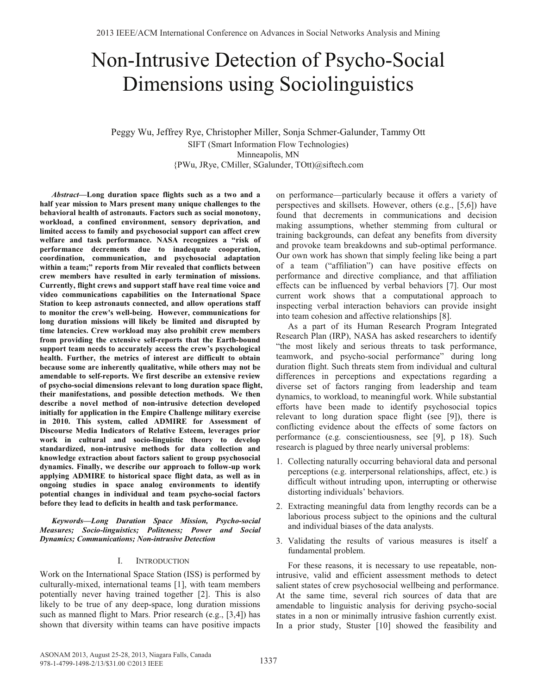# Non-Intrusive Detection of Psycho-Social Dimensions using Sociolinguistics

Peggy Wu, Jeffrey Rye, Christopher Miller, Sonja Schmer-Galunder, Tammy Ott SIFT (Smart Information Flow Technologies) Minneapolis, MN {PWu, JRye, CMiller, SGalunder, TOtt)@siftech.com

*Abstract***—Long duration space flights such as a two and a half year mission to Mars present many unique challenges to the behavioral health of astronauts. Factors such as social monotony, workload, a confined environment, sensory deprivation, and limited access to family and psychosocial support can affect crew welfare and task performance. NASA recognizes a "risk of performance decrements due to inadequate cooperation, coordination, communication, and psychosocial adaptation within a team;" reports from Mir revealed that conflicts between crew members have resulted in early termination of missions. Currently, flight crews and support staff have real time voice and video communications capabilities on the International Space Station to keep astronauts connected, and allow operations staff to monitor the crew's well-being. However, communications for long duration missions will likely be limited and disrupted by time latencies. Crew workload may also prohibit crew members from providing the extensive self-reports that the Earth-bound support team needs to accurately access the crew's psychological health. Further, the metrics of interest are difficult to obtain because some are inherently qualitative, while others may not be amendable to self-reports. We first describe an extensive review of psycho-social dimensions relevant to long duration space flight, their manifestations, and possible detection methods. We then describe a novel method of non-intrusive detection developed initially for application in the Empire Challenge military exercise in 2010. This system, called ADMIRE for Assessment of Discourse Media Indicators of Relative Esteem, leverages prior work in cultural and socio-linguistic theory to develop standardized, non-intrusive methods for data collection and knowledge extraction about factors salient to group psychosocial dynamics. Finally, we describe our approach to follow-up work applying ADMIRE to historical space flight data, as well as in ongoing studies in space analog environments to identify potential changes in individual and team psycho-social factors before they lead to deficits in health and task performance.** 

*Keywords—Long Duration Space Mission, Psycho-social Measures; Socio-linguistics; Politeness; Power and Social Dynamics; Communications; Non-intrusive Detection*

## I. INTRODUCTION

Work on the International Space Station (ISS) is performed by culturally-mixed, international teams [1], with team members potentially never having trained together [2]. This is also likely to be true of any deep-space, long duration missions such as manned flight to Mars. Prior research (e.g., [3,4]) has shown that diversity within teams can have positive impacts

on performance—particularly because it offers a variety of perspectives and skillsets. However, others (e.g., [5,6]) have found that decrements in communications and decision making assumptions, whether stemming from cultural or training backgrounds, can defeat any benefits from diversity and provoke team breakdowns and sub-optimal performance. Our own work has shown that simply feeling like being a part of a team ("affiliation") can have positive effects on performance and directive compliance, and that affiliation effects can be influenced by verbal behaviors [7]. Our most current work shows that a computational approach to inspecting verbal interaction behaviors can provide insight into team cohesion and affective relationships [8].

As a part of its Human Research Program Integrated Research Plan (IRP), NASA has asked researchers to identify "the most likely and serious threats to task performance, teamwork, and psycho-social performance" during long duration flight. Such threats stem from individual and cultural differences in perceptions and expectations regarding a diverse set of factors ranging from leadership and team dynamics, to workload, to meaningful work. While substantial efforts have been made to identify psychosocial topics relevant to long duration space flight (see [9]), there is conflicting evidence about the effects of some factors on performance (e.g. conscientiousness, see [9], p 18). Such research is plagued by three nearly universal problems:

- 1. Collecting naturally occurring behavioral data and personal perceptions (e.g. interpersonal relationships, affect, etc.) is difficult without intruding upon, interrupting or otherwise distorting individuals' behaviors.
- 2. Extracting meaningful data from lengthy records can be a laborious process subject to the opinions and the cultural and individual biases of the data analysts.
- 3. Validating the results of various measures is itself a fundamental problem.

For these reasons, it is necessary to use repeatable, nonintrusive, valid and efficient assessment methods to detect salient states of crew psychosocial wellbeing and performance. At the same time, several rich sources of data that are amendable to linguistic analysis for deriving psycho-social states in a non or minimally intrusive fashion currently exist. In a prior study, Stuster [10] showed the feasibility and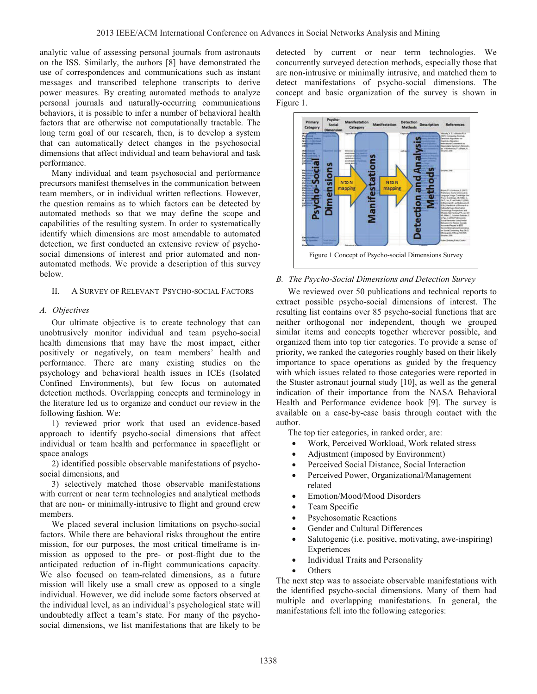analytic value of assessing personal journals from astronauts on the ISS. Similarly, the authors [8] have demonstrated the use of correspondences and communications such as instant messages and transcribed telephone transcripts to derive power measures. By creating automated methods to analyze personal journals and naturally-occurring communications behaviors, it is possible to infer a number of behavioral health factors that are otherwise not computationally tractable. The long term goal of our research, then, is to develop a system that can automatically detect changes in the psychosocial dimensions that affect individual and team behavioral and task performance.

Many individual and team psychosocial and performance precursors manifest themselves in the communication between team members, or in individual written reflections. However, the question remains as to which factors can be detected by automated methods so that we may define the scope and capabilities of the resulting system. In order to systematically identify which dimensions are most amendable to automated detection, we first conducted an extensive review of psychosocial dimensions of interest and prior automated and nonautomated methods. We provide a description of this survey below.

## II. A SURVEY OF RELEVANT PSYCHO-SOCIAL FACTORS

#### *A. Objectives*

Our ultimate objective is to create technology that can unobtrusively monitor individual and team psycho-social health dimensions that may have the most impact, either positively or negatively, on team members' health and performance. There are many existing studies on the psychology and behavioral health issues in ICEs (Isolated Confined Environments), but few focus on automated detection methods. Overlapping concepts and terminology in the literature led us to organize and conduct our review in the following fashion. We:

1) reviewed prior work that used an evidence-based approach to identify psycho-social dimensions that affect individual or team health and performance in spaceflight or space analogs

2) identified possible observable manifestations of psychosocial dimensions, and

3) selectively matched those observable manifestations with current or near term technologies and analytical methods that are non- or minimally-intrusive to flight and ground crew members.

We placed several inclusion limitations on psycho-social factors. While there are behavioral risks throughout the entire mission, for our purposes, the most critical timeframe is inmission as opposed to the pre- or post-flight due to the anticipated reduction of in-flight communications capacity. We also focused on team-related dimensions, as a future mission will likely use a small crew as opposed to a single individual. However, we did include some factors observed at the individual level, as an individual's psychological state will undoubtedly affect a team's state. For many of the psychosocial dimensions, we list manifestations that are likely to be

detected by current or near term technologies. We concurrently surveyed detection methods, especially those that are non-intrusive or minimally intrusive, and matched them to detect manifestations of psycho-social dimensions. The concept and basic organization of the survey is shown in Figure 1.



#### *B. The Psycho-Social Dimensions and Detection Survey*

We reviewed over 50 publications and technical reports to extract possible psycho-social dimensions of interest. The resulting list contains over 85 psycho-social functions that are neither orthogonal nor independent, though we grouped similar items and concepts together wherever possible, and organized them into top tier categories. To provide a sense of priority, we ranked the categories roughly based on their likely importance to space operations as guided by the frequency with which issues related to those categories were reported in the Stuster astronaut journal study [10], as well as the general indication of their importance from the NASA Behavioral Health and Performance evidence book [9]. The survey is available on a case-by-case basis through contact with the author.

The top tier categories, in ranked order, are:

- ! Work, Perceived Workload, Work related stress
- ! Adjustment (imposed by Environment)
- Perceived Social Distance, Social Interaction
- Perceived Power, Organizational/Management related
- ! Emotion/Mood/Mood Disorders
- Team Specific
- **Psychosomatic Reactions**
- ! Gender and Cultural Differences
- Salutogenic (i.e. positive, motivating, awe-inspiring) Experiences
- Individual Traits and Personality
- Others

The next step was to associate observable manifestations with the identified psycho-social dimensions. Many of them had multiple and overlapping manifestations. In general, the manifestations fell into the following categories: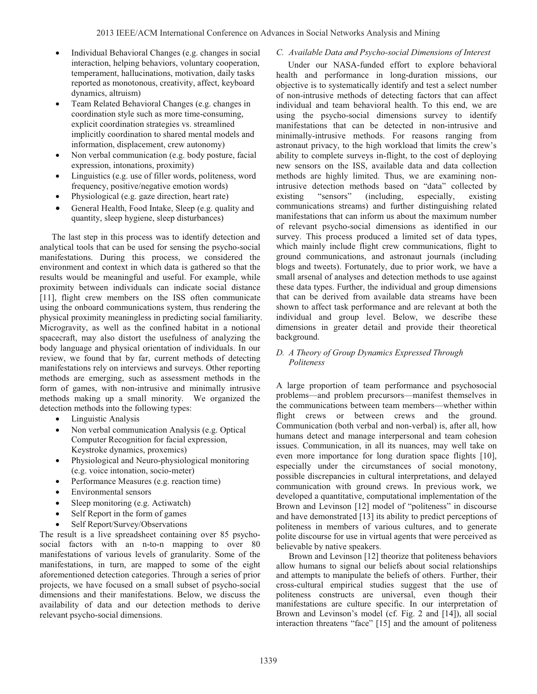- ! Individual Behavioral Changes (e.g. changes in social interaction, helping behaviors, voluntary cooperation, temperament, hallucinations, motivation, daily tasks reported as monotonous, creativity, affect, keyboard dynamics, altruism)
- ! Team Related Behavioral Changes (e.g. changes in coordination style such as more time-consuming, explicit coordination strategies vs. streamlined implicitly coordination to shared mental models and information, displacement, crew autonomy)
- ! Non verbal communication (e.g. body posture, facial expression, intonations, proximity)
- ! Linguistics (e.g. use of filler words, politeness, word frequency, positive/negative emotion words)
- ! Physiological (e.g. gaze direction, heart rate)
- ! General Health, Food Intake, Sleep (e.g. quality and quantity, sleep hygiene, sleep disturbances)

The last step in this process was to identify detection and analytical tools that can be used for sensing the psycho-social manifestations. During this process, we considered the environment and context in which data is gathered so that the results would be meaningful and useful. For example, while proximity between individuals can indicate social distance [11], flight crew members on the ISS often communicate using the onboard communications system, thus rendering the physical proximity meaningless in predicting social familiarity. Microgravity, as well as the confined habitat in a notional spacecraft, may also distort the usefulness of analyzing the body language and physical orientation of individuals. In our review, we found that by far, current methods of detecting manifestations rely on interviews and surveys. Other reporting methods are emerging, such as assessment methods in the form of games, with non-intrusive and minimally intrusive methods making up a small minority. We organized the detection methods into the following types:

- ! Linguistic Analysis
- ! Non verbal communication Analysis (e.g. Optical Computer Recognition for facial expression, Keystroke dynamics, proxemics)
- Physiological and Neuro-physiological monitoring (e.g. voice intonation, socio-meter)
- ! Performance Measures (e.g. reaction time)
- ! Environmental sensors
- Sleep monitoring (e.g. Actiwatch)
- Self Report in the form of games
- Self Report/Survey/Observations

The result is a live spreadsheet containing over 85 psychosocial factors with an n-to-n mapping to over 80 manifestations of various levels of granularity. Some of the manifestations, in turn, are mapped to some of the eight aforementioned detection categories. Through a series of prior projects, we have focused on a small subset of psycho-social dimensions and their manifestations. Below, we discuss the availability of data and our detection methods to derive relevant psycho-social dimensions.

## *C. Available Data and Psycho-social Dimensions of Interest*

Under our NASA-funded effort to explore behavioral health and performance in long-duration missions, our objective is to systematically identify and test a select number of non-intrusive methods of detecting factors that can affect individual and team behavioral health. To this end, we are using the psycho-social dimensions survey to identify manifestations that can be detected in non-intrusive and minimally-intrusive methods. For reasons ranging from astronaut privacy, to the high workload that limits the crew's ability to complete surveys in-flight, to the cost of deploying new sensors on the ISS, available data and data collection methods are highly limited. Thus, we are examining nonintrusive detection methods based on "data" collected by existing "sensors" (including, especially, existing communications streams) and further distinguishing related manifestations that can inform us about the maximum number of relevant psycho-social dimensions as identified in our survey. This process produced a limited set of data types, which mainly include flight crew communications, flight to ground communications, and astronaut journals (including blogs and tweets). Fortunately, due to prior work, we have a small arsenal of analyses and detection methods to use against these data types. Further, the individual and group dimensions that can be derived from available data streams have been shown to affect task performance and are relevant at both the individual and group level. Below, we describe these dimensions in greater detail and provide their theoretical background.

## *D. A Theory of Group Dynamics Expressed Through Politeness*

A large proportion of team performance and psychosocial problems—and problem precursors—manifest themselves in the communications between team members—whether within flight crews or between crews and the ground. Communication (both verbal and non-verbal) is, after all, how humans detect and manage interpersonal and team cohesion issues. Communication, in all its nuances, may well take on even more importance for long duration space flights [10], especially under the circumstances of social monotony, possible discrepancies in cultural interpretations, and delayed communication with ground crews. In previous work, we developed a quantitative, computational implementation of the Brown and Levinson [12] model of "politeness" in discourse and have demonstrated [13] its ability to predict perceptions of politeness in members of various cultures, and to generate polite discourse for use in virtual agents that were perceived as believable by native speakers.

Brown and Levinson [12] theorize that politeness behaviors allow humans to signal our beliefs about social relationships and attempts to manipulate the beliefs of others. Further, their cross-cultural empirical studies suggest that the use of politeness constructs are universal, even though their manifestations are culture specific. In our interpretation of Brown and Levinson's model (cf. Fig. 2 and [14]), all social interaction threatens "face" [15] and the amount of politeness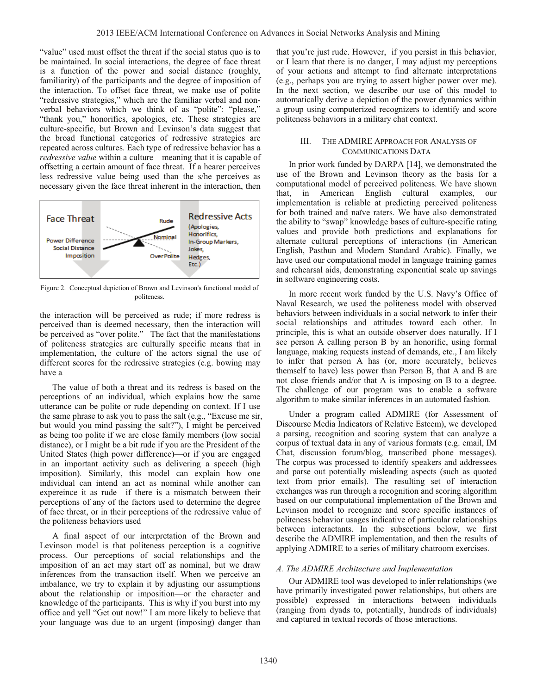"value" used must offset the threat if the social status quo is to be maintained. In social interactions, the degree of face threat is a function of the power and social distance (roughly, familiarity) of the participants and the degree of imposition of the interaction. To offset face threat, we make use of polite "redressive strategies," which are the familiar verbal and nonverbal behaviors which we think of as "polite": "please," "thank you," honorifics, apologies, etc. These strategies are culture-specific, but Brown and Levinson's data suggest that the broad functional categories of redressive strategies are repeated across cultures. Each type of redressive behavior has a *redressive value* within a culture—meaning that it is capable of offsetting a certain amount of face threat. If a hearer perceives less redressive value being used than the s/he perceives as necessary given the face threat inherent in the interaction, then



Figure 2. Conceptual depiction of Brown and Levinson's functional model of politeness.

the interaction will be perceived as rude; if more redress is perceived than is deemed necessary, then the interaction will be perceived as "over polite." The fact that the manifestations of politeness strategies are culturally specific means that in implementation, the culture of the actors signal the use of different scores for the redressive strategies (e.g. bowing may have a

The value of both a threat and its redress is based on the perceptions of an individual, which explains how the same utterance can be polite or rude depending on context. If I use the same phrase to ask you to pass the salt (e.g., "Excuse me sir, but would you mind passing the salt?"), I might be perceived as being too polite if we are close family members (low social distance), or I might be a bit rude if you are the President of the United States (high power difference)—or if you are engaged in an important activity such as delivering a speech (high imposition). Similarly, this model can explain how one individual can intend an act as nominal while another can expereince it as rude—if there is a mismatch between their perceptions of any of the factors used to determine the degree of face threat, or in their perceptions of the redressive value of the politeness behaviors used

A final aspect of our interpretation of the Brown and Levinson model is that politeness perception is a cognitive process. Our perceptions of social relationships and the imposition of an act may start off as nominal, but we draw inferences from the transaction itself. When we perceive an imbalance, we try to explain it by adjusting our assumptions about the relationship or imposition—or the character and knowledge of the participants. This is why if you burst into my office and yell "Get out now!" I am more likely to believe that your language was due to an urgent (imposing) danger than

that you're just rude. However, if you persist in this behavior, or I learn that there is no danger, I may adjust my perceptions of your actions and attempt to find alternate interpretations (e.g., perhaps you are trying to assert higher power over me). In the next section, we describe our use of this model to automatically derive a depiction of the power dynamics within a group using computerized recognizers to identify and score politeness behaviors in a military chat context.

## III. THE ADMIRE APPROACH FOR ANALYSIS OF COMMUNICATIONS DATA

In prior work funded by DARPA [14], we demonstrated the use of the Brown and Levinson theory as the basis for a computational model of perceived politeness. We have shown that, in American English cultural examples, our implementation is reliable at predicting perceived politeness for both trained and naïve raters. We have also demonstrated the ability to "swap" knowledge bases of culture-specific rating values and provide both predictions and explanations for alternate cultural perceptions of interactions (in American English, Pasthun and Modern Standard Arabic). Finally, we have used our computational model in language training games and rehearsal aids, demonstrating exponential scale up savings in software engineering costs.

In more recent work funded by the U.S. Navy's Office of Naval Research, we used the politeness model with observed behaviors between individuals in a social network to infer their social relationships and attitudes toward each other. In principle, this is what an outside observer does naturally. If I see person A calling person B by an honorific, using formal language, making requests instead of demands, etc., I am likely to infer that person A has (or, more accurately, believes themself to have) less power than Person B, that A and B are not close friends and/or that A is imposing on B to a degree. The challenge of our program was to enable a software algorithm to make similar inferences in an automated fashion.

Under a program called ADMIRE (for Assessment of Discourse Media Indicators of Relative Esteem), we developed a parsing, recognition and scoring system that can analyze a corpus of textual data in any of various formats (e.g. email, IM Chat, discussion forum/blog, transcribed phone messages). The corpus was processed to identify speakers and addressees and parse out potentially misleading aspects (such as quoted text from prior emails). The resulting set of interaction exchanges was run through a recognition and scoring algorithm based on our computational implementation of the Brown and Levinson model to recognize and score specific instances of politeness behavior usages indicative of particular relationships between interactants. In the subsections below, we first describe the ADMIRE implementation, and then the results of applying ADMIRE to a series of military chatroom exercises.

# *A. The ADMIRE Architecture and Implementation*

Our ADMIRE tool was developed to infer relationships (we have primarily investigated power relationships, but others are possible) expressed in interactions between individuals (ranging from dyads to, potentially, hundreds of individuals) and captured in textual records of those interactions.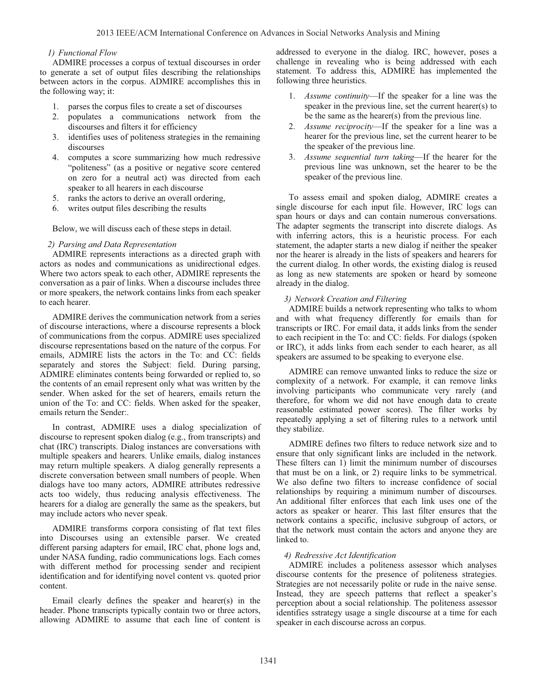## *1) Functional Flow*

ADMIRE processes a corpus of textual discourses in order to generate a set of output files describing the relationships between actors in the corpus. ADMIRE accomplishes this in the following way; it:

- 1. parses the corpus files to create a set of discourses
- 2. populates a communications network from the discourses and filters it for efficiency
- 3. identifies uses of politeness strategies in the remaining discourses
- 4. computes a score summarizing how much redressive "politeness" (as a positive or negative score centered on zero for a neutral act) was directed from each speaker to all hearers in each discourse
- 5. ranks the actors to derive an overall ordering,
- 6. writes output files describing the results

Below, we will discuss each of these steps in detail.

#### *2) Parsing and Data Representation*

ADMIRE represents interactions as a directed graph with actors as nodes and communications as unidirectional edges. Where two actors speak to each other, ADMIRE represents the conversation as a pair of links. When a discourse includes three or more speakers, the network contains links from each speaker to each hearer.

ADMIRE derives the communication network from a series of discourse interactions, where a discourse represents a block of communications from the corpus. ADMIRE uses specialized discourse representations based on the nature of the corpus. For emails, ADMIRE lists the actors in the To: and CC: fields separately and stores the Subject: field. During parsing, ADMIRE eliminates contents being forwarded or replied to, so the contents of an email represent only what was written by the sender. When asked for the set of hearers, emails return the union of the To: and CC: fields. When asked for the speaker, emails return the Sender:.

In contrast, ADMIRE uses a dialog specialization of discourse to represent spoken dialog (e.g., from transcripts) and chat (IRC) transcripts. Dialog instances are conversations with multiple speakers and hearers. Unlike emails, dialog instances may return multiple speakers. A dialog generally represents a discrete conversation between small numbers of people. When dialogs have too many actors, ADMIRE attributes redressive acts too widely, thus reducing analysis effectiveness. The hearers for a dialog are generally the same as the speakers, but may include actors who never speak.

ADMIRE transforms corpora consisting of flat text files into Discourses using an extensible parser. We created different parsing adapters for email, IRC chat, phone logs and, under NASA funding, radio communications logs. Each comes with different method for processing sender and recipient identification and for identifying novel content vs. quoted prior content.

Email clearly defines the speaker and hearer(s) in the header. Phone transcripts typically contain two or three actors, allowing ADMIRE to assume that each line of content is

addressed to everyone in the dialog. IRC, however, poses a challenge in revealing who is being addressed with each statement. To address this, ADMIRE has implemented the following three heuristics.

- 1. *Assume continuity*—If the speaker for a line was the speaker in the previous line, set the current hearer(s) to be the same as the hearer(s) from the previous line.
- 2. *Assume reciprocity*—If the speaker for a line was a hearer for the previous line, set the current hearer to be the speaker of the previous line.
- 3. *Assume sequential turn taking*—If the hearer for the previous line was unknown, set the hearer to be the speaker of the previous line.

To assess email and spoken dialog, ADMIRE creates a single discourse for each input file. However, IRC logs can span hours or days and can contain numerous conversations. The adapter segments the transcript into discrete dialogs. As with inferring actors, this is a heuristic process. For each statement, the adapter starts a new dialog if neither the speaker nor the hearer is already in the lists of speakers and hearers for the current dialog. In other words, the existing dialog is reused as long as new statements are spoken or heard by someone already in the dialog.

## *3) Network Creation and Filtering*

ADMIRE builds a network representing who talks to whom and with what frequency differently for emails than for transcripts or IRC. For email data, it adds links from the sender to each recipient in the To: and CC: fields. For dialogs (spoken or IRC), it adds links from each sender to each hearer, as all speakers are assumed to be speaking to everyone else.

ADMIRE can remove unwanted links to reduce the size or complexity of a network. For example, it can remove links involving participants who communicate very rarely (and therefore, for whom we did not have enough data to create reasonable estimated power scores). The filter works by repeatedly applying a set of filtering rules to a network until they stabilize.

ADMIRE defines two filters to reduce network size and to ensure that only significant links are included in the network. These filters can 1) limit the minimum number of discourses that must be on a link, or 2) require links to be symmetrical. We also define two filters to increase confidence of social relationships by requiring a minimum number of discourses. An additional filter enforces that each link uses one of the actors as speaker or hearer. This last filter ensures that the network contains a specific, inclusive subgroup of actors, or that the network must contain the actors and anyone they are linked to.

## *4) Redressive Act Identification*

ADMIRE includes a politeness assessor which analyses discourse contents for the presence of politeness strategies. Strategies are not necessarily polite or rude in the naive sense. Instead, they are speech patterns that reflect a speaker's perception about a social relationship. The politeness assessor identifies sstrategy usage a single discourse at a time for each speaker in each discourse across an corpus.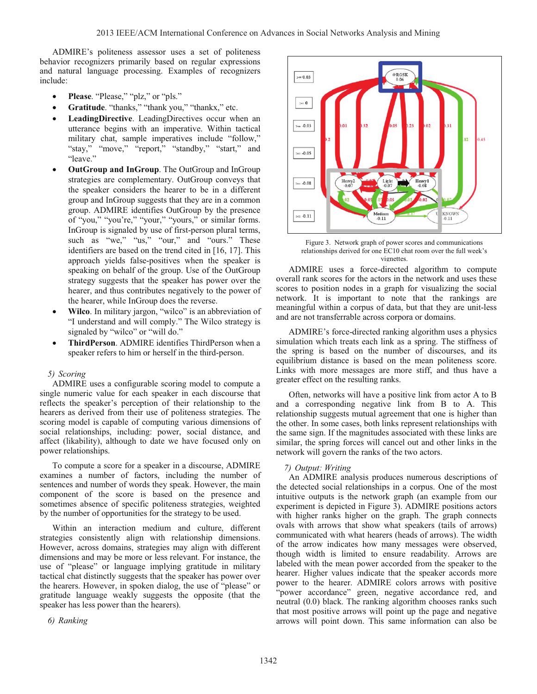ADMIRE's politeness assessor uses a set of politeness behavior recognizers primarily based on regular expressions and natural language processing. Examples of recognizers include:

- ! **Please**. "Please," "plz," or "pls."
- ! **Gratitude**. "thanks," "thank you," "thankx," etc.
- LeadingDirective. LeadingDirectives occur when an utterance begins with an imperative. Within tactical military chat, sample imperatives include "follow," "stay," "move," "report," "standby," "start," and "leave."
- ! **OutGroup and InGroup**. The OutGroup and InGroup strategies are complementary. OutGroup conveys that the speaker considers the hearer to be in a different group and InGroup suggests that they are in a common group. ADMIRE identifies OutGroup by the presence of "you," "you're," "your," "yours," or similar forms. InGroup is signaled by use of first-person plural terms, such as "we," "us," "our," and "ours." These identifiers are based on the trend cited in [16, 17]. This approach yields false-positives when the speaker is speaking on behalf of the group. Use of the OutGroup strategy suggests that the speaker has power over the hearer, and thus contributes negatively to the power of the hearer, while InGroup does the reverse.
- **Wilco**. In military jargon, "wilco" is an abbreviation of "I understand and will comply." The Wilco strategy is signaled by "wilco" or "will do."
- ! **ThirdPerson**. ADMIRE identifies ThirdPerson when a speaker refers to him or herself in the third-person.

## *5) Scoring*

ADMIRE uses a configurable scoring model to compute a single numeric value for each speaker in each discourse that reflects the speaker's perception of their relationship to the hearers as derived from their use of politeness strategies. The scoring model is capable of computing various dimensions of social relationships, including: power, social distance, and affect (likability), although to date we have focused only on power relationships.

To compute a score for a speaker in a discourse, ADMIRE examines a number of factors, including the number of sentences and number of words they speak. However, the main component of the score is based on the presence and sometimes absence of specific politeness strategies, weighted by the number of opportunities for the strategy to be used.

Within an interaction medium and culture, different strategies consistently align with relationship dimensions. However, across domains, strategies may align with different dimensions and may be more or less relevant. For instance, the use of "please" or language implying gratitude in military tactical chat distinctly suggests that the speaker has power over the hearers. However, in spoken dialog, the use of "please" or gratitude language weakly suggests the opposite (that the speaker has less power than the hearers).

*6) Ranking*



Figure 3. Network graph of power scores and communications relationships derived for one EC10 chat room over the full week's vignettes.

ADMIRE uses a force-directed algorithm to compute overall rank scores for the actors in the network and uses these scores to position nodes in a graph for visualizing the social network. It is important to note that the rankings are meaningful within a corpus of data, but that they are unit-less and are not transferrable across corpora or domains.

ADMIRE's force-directed ranking algorithm uses a physics simulation which treats each link as a spring. The stiffness of the spring is based on the number of discourses, and its equilibrium distance is based on the mean politeness score. Links with more messages are more stiff, and thus have a greater effect on the resulting ranks.

Often, networks will have a positive link from actor A to B and a corresponding negative link from B to A. This relationship suggests mutual agreement that one is higher than the other. In some cases, both links represent relationships with the same sign. If the magnitudes associated with these links are similar, the spring forces will cancel out and other links in the network will govern the ranks of the two actors.

## *7) Output: Writing*

An ADMIRE analysis produces numerous descriptions of the detected social relationships in a corpus. One of the most intuitive outputs is the network graph (an example from our experiment is depicted in Figure 3). ADMIRE positions actors with higher ranks higher on the graph. The graph connects ovals with arrows that show what speakers (tails of arrows) communicated with what hearers (heads of arrows). The width of the arrow indicates how many messages were observed, though width is limited to ensure readability. Arrows are labeled with the mean power accorded from the speaker to the hearer. Higher values indicate that the speaker accords more power to the hearer. ADMIRE colors arrows with positive "power accordance" green, negative accordance red, and neutral (0.0) black. The ranking algorithm chooses ranks such that most positive arrows will point up the page and negative arrows will point down. This same information can also be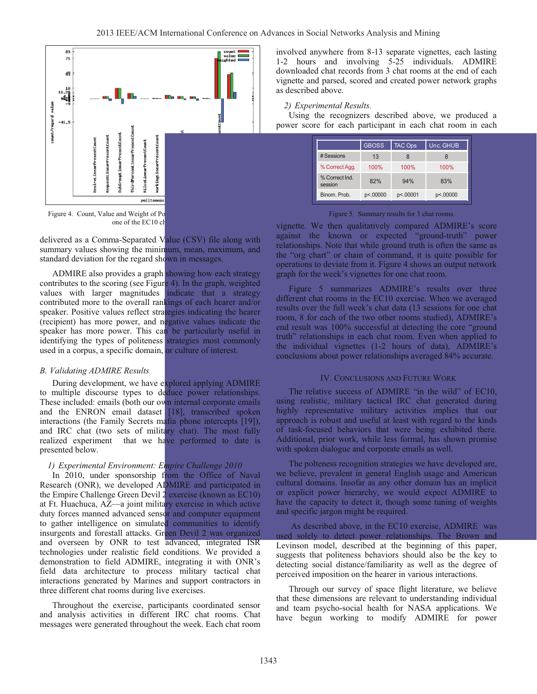

delivered as a Comma-Separated Value (CSV) file along with summary values showing the minimum, mean, maximum, and standard deviation for the regard shown in messages.

ADMIRE also provides a graph showing how each strategy contributes to the scoring (see Figure 4). In the graph, weighted values with larger magnitudes indicate that a strategy contributed more to the overall rankings of each hearer and/or speaker. Positive values reflect strategies indicating the hearer (recipient) has more power, and negative values indicate the speaker has more power. This can be particularly useful in identifying the types of politeness strategies most commonly used in a corpus, a specific domain, or culture of interest.

#### *B. Validating ADMIRE Results*

During development, we have explored applying ADMIRE to multiple discourse types to deduce power relationships. These included: emails (both our own internal corporate emails and the ENRON email dataset [18], transcribed spoken interactions (the Family Secrets mafia phone intercepts [19]), and IRC chat (two sets of military chat). The most fully realized experiment that we have performed to date is presented below.

#### *1) Experimental Environment: Empire Challenge 2010*

In 2010, under sponsorship from the Office of Naval Research (ONR), we developed ADMIRE and participated in the Empire Challenge Green Devil 2 exercise (known as EC10) at Ft. Huachuca, AZ—a joint military exercise in which active duty forces manned advanced sensor and computer equipment to gather intelligence on simulated communities to identify insurgents and forestall attacks. Green Devil 2 was organized and overseen by ONR to test advanced, integrated ISR technologies under realistic field conditions. We provided a demonstration to field ADMIRE, integrating it with ONR's field data architecture to process military tactical chat interactions generated by Marines and support contractors in three different chat rooms during live exercises.

Throughout the exercise, participants coordinated sensor and analysis activities in different IRC chat rooms. Chat messages were generated throughout the week. Each chat room

involved anywhere from 8-13 separate vignettes, each lasting 1-2 hours and involving 5-25 individuals. ADMIRE downloaded chat records from 3 chat rooms at the end of each vignette and parsed, scored and created power network graphs as described above.

#### *2) Experimental Results.*

Using the recognizers described above, we produced a power score for each participant in each chat room in each

|                           | <b>GBOSS</b> | <b>TAC Ops</b> | Unc. GHUB |
|---------------------------|--------------|----------------|-----------|
| # Sessions                | 13           |                | 8         |
| % Correct Agg.            | 100%         | 100%           | 100%      |
| % Correct Ind.<br>session | 82%          | 94%            | 83%       |
| Binom, Prob.              | p<.00000     | p<.00001       | p<.00000  |

Figure 5. Summary results for 3 chat rooms.

vignette. We then qualitatively compared ADMIRE's score against the known or expected "ground-truth" power relationships. Note that while ground truth is often the same as the "org chart" or chain of command, it is quite possible for operations to deviate from it. Figure 4 shows an output network graph for the week's vignettes for one chat room.

Figure 5 summarizes ADMIRE's results over three different chat rooms in the EC10 exercise. When we averaged results over the full week's chat data (13 sessions for one chat room, 8 for each of the two other rooms studied), ADMIRE's end result was 100% successful at detecting the core "ground truth" relationships in each chat room. Even when applied to the individual vignettes (1-2 hours of data), ADMIRE's conclusions about power relationships averaged 84% accurate.

#### IV. CONCLUSIONS AND FUTURE WORK

The relative success of ADMIRE "in the wild" of EC10, using realistic, military tactical IRC chat generated during highly representative military activities implies that our approach is robust and useful at least with regard to the kinds of task-focused behaviors that were being exhibited there. Additional, prior work, while less formal, has shown promise with spoken dialogue and corporate emails as well.

The polteness recognition strategies we have developed are, we believe, prevalent in general English usage and American cultural domains. Insofar as any other domain has an implicit or explicit power hierarchy, we would expect ADMIRE to have the capacity to detect it, though some tuning of weights and specific jargon might be required.

As described above, in the EC10 exercise, ADMIRE was used solely to detect power relationships. The Brown and Levinson model, described at the beginning of this paper, suggests that politeness behaviors should also be the key to detecting social distance/familiarity as well as the degree of perceived imposition on the hearer in various interactions.

Through our survey of space flight literature, we believe that these dimensions are relevant to understanding individual and team psycho-social health for NASA applications. We have begun working to modify ADMIRE for power